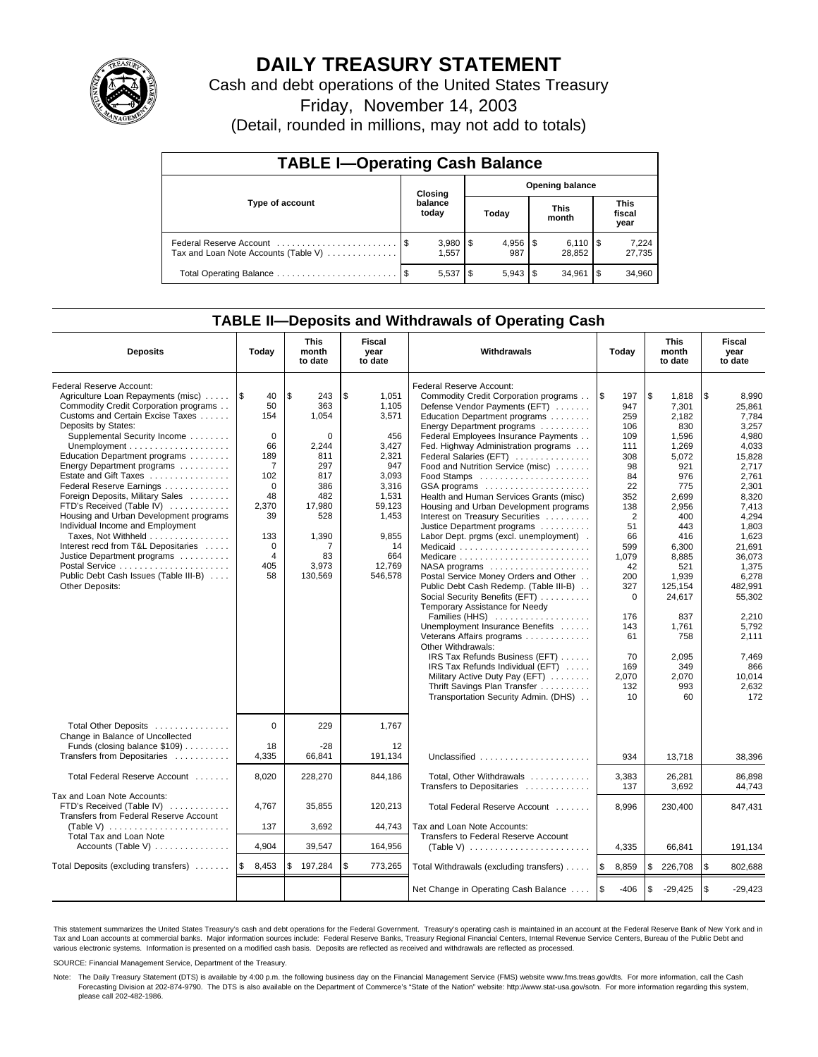

# **DAILY TREASURY STATEMENT**

Cash and debt operations of the United States Treasury

Friday, November 14, 2003

(Detail, rounded in millions, may not add to totals)

| <b>TABLE I-Operating Cash Balance</b>                           |         |                       |       |     |                        |                              |                               |                 |  |  |
|-----------------------------------------------------------------|---------|-----------------------|-------|-----|------------------------|------------------------------|-------------------------------|-----------------|--|--|
|                                                                 | Closing |                       |       |     | <b>Opening balance</b> |                              |                               |                 |  |  |
| Type of account                                                 |         | balance<br>today      | Today |     | <b>This</b><br>month   |                              | <b>This</b><br>fiscal<br>year |                 |  |  |
| Federal Reserve Account<br>Tax and Loan Note Accounts (Table V) |         | $3,980$   \$<br>1.557 |       | 987 |                        | $6,110$ $\sqrt{5}$<br>28.852 |                               | 7,224<br>27,735 |  |  |
|                                                                 | - \$    | $5,537$ $\frac{1}{3}$ |       |     |                        | 34.961                       | l \$                          | 34,960          |  |  |

## **TABLE II—Deposits and Withdrawals of Operating Cash**

| <b>Deposits</b>                                                                                                                                                                                                                                                                                                                                                                                                                                                                                                                                                                                                                                                                                             | Today                                                                                                                                                             | <b>This</b><br>month<br>to date                                                                                                                    | Fiscal<br>year<br>to date                                                                                                                              | Withdrawals                                                                                                                                                                                                                                                                                                                                                                                                                                                                                                                                                                                                                                                                                                                                                                                                                                                                                                                                                                                                                                           | Today                                                                                                                                                                                                                     | <b>This</b><br>month<br>to date                                                                                                                                                                                                                 | Fiscal<br>year<br>to date                                                                                                                                                                                                                                                   |
|-------------------------------------------------------------------------------------------------------------------------------------------------------------------------------------------------------------------------------------------------------------------------------------------------------------------------------------------------------------------------------------------------------------------------------------------------------------------------------------------------------------------------------------------------------------------------------------------------------------------------------------------------------------------------------------------------------------|-------------------------------------------------------------------------------------------------------------------------------------------------------------------|----------------------------------------------------------------------------------------------------------------------------------------------------|--------------------------------------------------------------------------------------------------------------------------------------------------------|-------------------------------------------------------------------------------------------------------------------------------------------------------------------------------------------------------------------------------------------------------------------------------------------------------------------------------------------------------------------------------------------------------------------------------------------------------------------------------------------------------------------------------------------------------------------------------------------------------------------------------------------------------------------------------------------------------------------------------------------------------------------------------------------------------------------------------------------------------------------------------------------------------------------------------------------------------------------------------------------------------------------------------------------------------|---------------------------------------------------------------------------------------------------------------------------------------------------------------------------------------------------------------------------|-------------------------------------------------------------------------------------------------------------------------------------------------------------------------------------------------------------------------------------------------|-----------------------------------------------------------------------------------------------------------------------------------------------------------------------------------------------------------------------------------------------------------------------------|
| Federal Reserve Account:<br>Agriculture Loan Repayments (misc)<br>Commodity Credit Corporation programs<br>Customs and Certain Excise Taxes<br>Deposits by States:<br>Supplemental Security Income<br>Unemployment $\dots\dots\dots\dots\dots\dots\dots\dots$<br>Education Department programs<br>Energy Department programs<br>Estate and Gift Taxes<br>Federal Reserve Earnings<br>Foreign Deposits, Military Sales<br>FTD's Received (Table IV)<br>Housing and Urban Development programs<br>Individual Income and Employment<br>Taxes, Not Withheld<br>Interest recd from T&L Depositaries<br>Justice Department programs<br>Postal Service<br>Public Debt Cash Issues (Table III-B)<br>Other Deposits: | 1\$<br>40<br>50<br>154<br>$\Omega$<br>66<br>189<br>$\overline{7}$<br>102<br>$\mathbf 0$<br>48<br>2,370<br>39<br>133<br>$\mathbf 0$<br>$\overline{4}$<br>405<br>58 | $\sqrt{3}$<br>243<br>363<br>1,054<br>$\Omega$<br>2,244<br>811<br>297<br>817<br>386<br>482<br>17,980<br>528<br>1,390<br>7<br>83<br>3,973<br>130,569 | \$<br>1,051<br>1.105<br>3,571<br>456<br>3,427<br>2,321<br>947<br>3,093<br>3,316<br>1,531<br>59,123<br>1,453<br>9,855<br>14<br>664<br>12,769<br>546,578 | Federal Reserve Account:<br>Commodity Credit Corporation programs<br>Defense Vendor Payments (EFT)<br>Education Department programs<br>Energy Department programs<br>Federal Employees Insurance Payments<br>Fed. Highway Administration programs<br>Federal Salaries (EFT)<br>Food and Nutrition Service (misc)<br>$GSA$ programs $\ldots \ldots \ldots \ldots \ldots$<br>Health and Human Services Grants (misc)<br>Housing and Urban Development programs<br>Interest on Treasury Securities<br>Justice Department programs<br>Labor Dept. prgms (excl. unemployment).<br>Medicaid<br>NASA programs<br>Postal Service Money Orders and Other<br>Public Debt Cash Redemp. (Table III-B)<br>Social Security Benefits (EFT)<br>Temporary Assistance for Needy<br>Families (HHS)<br>Unemployment Insurance Benefits<br>Veterans Affairs programs<br>Other Withdrawals:<br>IRS Tax Refunds Business (EFT)<br>IRS Tax Refunds Individual (EFT)<br>Military Active Duty Pay (EFT)<br>Thrift Savings Plan Transfer<br>Transportation Security Admin. (DHS) | 1\$<br>197<br>947<br>259<br>106<br>109<br>111<br>308<br>98<br>84<br>22<br>352<br>138<br>$\overline{2}$<br>51<br>66<br>599<br>1,079<br>42<br>200<br>327<br>$\Omega$<br>176<br>143<br>61<br>70<br>169<br>2,070<br>132<br>10 | \$<br>1,818<br>7,301<br>2.182<br>830<br>1,596<br>1,269<br>5,072<br>921<br>976<br>775<br>2,699<br>2,956<br>400<br>443<br>416<br>6.300<br>8,885<br>521<br>1,939<br>125.154<br>24,617<br>837<br>1,761<br>758<br>2.095<br>349<br>2,070<br>993<br>60 | \$<br>8,990<br>25.861<br>7.784<br>3,257<br>4,980<br>4,033<br>15,828<br>2,717<br>2.761<br>2.301<br>8,320<br>7,413<br>4,294<br>1.803<br>1.623<br>21.691<br>36,073<br>1,375<br>6,278<br>482.991<br>55,302<br>2.210<br>5,792<br>2,111<br>7.469<br>866<br>10,014<br>2,632<br>172 |
| Total Other Deposits<br>Change in Balance of Uncollected<br>Funds (closing balance \$109)<br>Transfers from Depositaries                                                                                                                                                                                                                                                                                                                                                                                                                                                                                                                                                                                    | $\Omega$<br>18<br>4,335                                                                                                                                           | 229<br>$-28$<br>66,841                                                                                                                             | 1.767<br>12<br>191,134                                                                                                                                 | Unclassified                                                                                                                                                                                                                                                                                                                                                                                                                                                                                                                                                                                                                                                                                                                                                                                                                                                                                                                                                                                                                                          | 934                                                                                                                                                                                                                       | 13,718                                                                                                                                                                                                                                          | 38,396                                                                                                                                                                                                                                                                      |
| Total Federal Reserve Account                                                                                                                                                                                                                                                                                                                                                                                                                                                                                                                                                                                                                                                                               | 8,020                                                                                                                                                             | 228,270                                                                                                                                            | 844,186                                                                                                                                                | Total, Other Withdrawals<br>Transfers to Depositaries                                                                                                                                                                                                                                                                                                                                                                                                                                                                                                                                                                                                                                                                                                                                                                                                                                                                                                                                                                                                 | 3,383<br>137                                                                                                                                                                                                              | 26,281<br>3,692                                                                                                                                                                                                                                 | 86.898<br>44.743                                                                                                                                                                                                                                                            |
| Tax and Loan Note Accounts:<br>FTD's Received (Table IV)<br>Transfers from Federal Reserve Account<br>(Table V) $\ldots \ldots \ldots \ldots \ldots \ldots \ldots$<br><b>Total Tax and Loan Note</b>                                                                                                                                                                                                                                                                                                                                                                                                                                                                                                        | 4,767<br>137                                                                                                                                                      | 35,855<br>3,692                                                                                                                                    | 120,213<br>44,743                                                                                                                                      | Total Federal Reserve Account<br>Tax and Loan Note Accounts:<br>Transfers to Federal Reserve Account                                                                                                                                                                                                                                                                                                                                                                                                                                                                                                                                                                                                                                                                                                                                                                                                                                                                                                                                                  | 8,996                                                                                                                                                                                                                     | 230,400                                                                                                                                                                                                                                         | 847,431                                                                                                                                                                                                                                                                     |
| Accounts (Table V) $\dots \dots \dots \dots$                                                                                                                                                                                                                                                                                                                                                                                                                                                                                                                                                                                                                                                                | 4,904                                                                                                                                                             | 39,547                                                                                                                                             | 164,956                                                                                                                                                |                                                                                                                                                                                                                                                                                                                                                                                                                                                                                                                                                                                                                                                                                                                                                                                                                                                                                                                                                                                                                                                       | 4,335                                                                                                                                                                                                                     | 66,841                                                                                                                                                                                                                                          | 191,134                                                                                                                                                                                                                                                                     |
| Total Deposits (excluding transfers)                                                                                                                                                                                                                                                                                                                                                                                                                                                                                                                                                                                                                                                                        | l\$<br>8,453                                                                                                                                                      | \$<br>197,284                                                                                                                                      | \$<br>773,265                                                                                                                                          | Total Withdrawals (excluding transfers)                                                                                                                                                                                                                                                                                                                                                                                                                                                                                                                                                                                                                                                                                                                                                                                                                                                                                                                                                                                                               | 1\$<br>8,859                                                                                                                                                                                                              | <b>S</b><br>226,708                                                                                                                                                                                                                             | \$<br>802,688                                                                                                                                                                                                                                                               |
|                                                                                                                                                                                                                                                                                                                                                                                                                                                                                                                                                                                                                                                                                                             |                                                                                                                                                                   |                                                                                                                                                    |                                                                                                                                                        | Net Change in Operating Cash Balance                                                                                                                                                                                                                                                                                                                                                                                                                                                                                                                                                                                                                                                                                                                                                                                                                                                                                                                                                                                                                  | <b>1s</b><br>$-406$                                                                                                                                                                                                       | l \$<br>$-29,425$                                                                                                                                                                                                                               | \$<br>$-29,423$                                                                                                                                                                                                                                                             |

This statement summarizes the United States Treasury's cash and debt operations for the Federal Government. Treasury's operating cash is maintained in an account at the Federal Reserve Bank of New York and in Tax and Loan accounts at commercial banks. Major information sources include: Federal Reserve Banks, Treasury Regional Financial Centers, Internal Revenue Service Centers, Bureau of the Public Debt and<br>various electronic s

SOURCE: Financial Management Service, Department of the Treasury.

Note: The Daily Treasury Statement (DTS) is available by 4:00 p.m. the following business day on the Financial Management Service (FMS) website www.fms.treas.gov/dts. For more information, call the Cash Forecasting Division at 202-874-9790. The DTS is also available on the Department of Commerce's "State of the Nation" website: http://www.stat-usa.gov/sotn. For more information regarding this system, please call 202-482-1986.